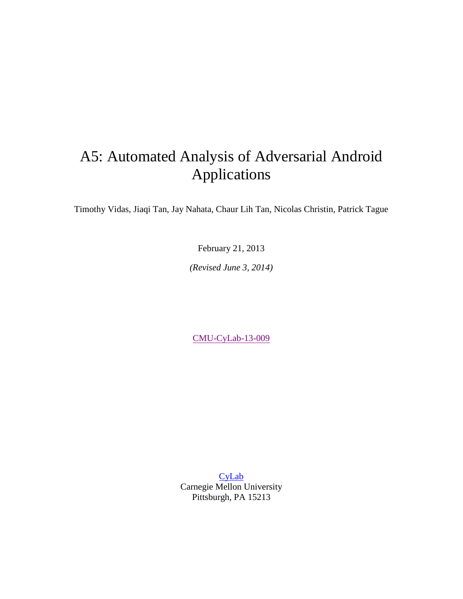# A5: Automated Analysis of Adversarial Android Applications

Timothy Vidas, Jiaqi Tan, Jay Nahata, Chaur Lih Tan, Nicolas Christin, Patrick Tague

February 21, 2013

*(Revised June 3, 2014)*

[CMU-CyLab-13-009](http://www.cylab.cmu.edu/research/techreports/2013/tr_cylab13009.html)

**[CyLab](http://www.cylab.cmu.edu/)** Carnegie Mellon University Pittsburgh, PA 15213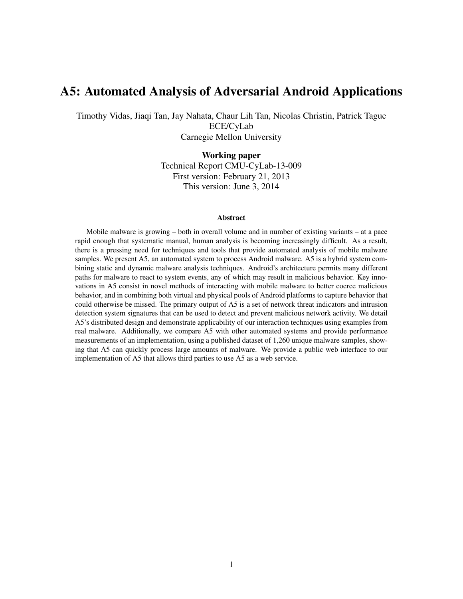# A5: Automated Analysis of Adversarial Android Applications

Timothy Vidas, Jiaqi Tan, Jay Nahata, Chaur Lih Tan, Nicolas Christin, Patrick Tague ECE/CyLab Carnegie Mellon University

> Working paper Technical Report CMU-CyLab-13-009 First version: February 21, 2013 This version: June 3, 2014

#### Abstract

Mobile malware is growing – both in overall volume and in number of existing variants – at a pace rapid enough that systematic manual, human analysis is becoming increasingly difficult. As a result, there is a pressing need for techniques and tools that provide automated analysis of mobile malware samples. We present A5, an automated system to process Android malware. A5 is a hybrid system combining static and dynamic malware analysis techniques. Android's architecture permits many different paths for malware to react to system events, any of which may result in malicious behavior. Key innovations in A5 consist in novel methods of interacting with mobile malware to better coerce malicious behavior, and in combining both virtual and physical pools of Android platforms to capture behavior that could otherwise be missed. The primary output of A5 is a set of network threat indicators and intrusion detection system signatures that can be used to detect and prevent malicious network activity. We detail A5's distributed design and demonstrate applicability of our interaction techniques using examples from real malware. Additionally, we compare A5 with other automated systems and provide performance measurements of an implementation, using a published dataset of 1,260 unique malware samples, showing that A5 can quickly process large amounts of malware. We provide a public web interface to our implementation of A5 that allows third parties to use A5 as a web service.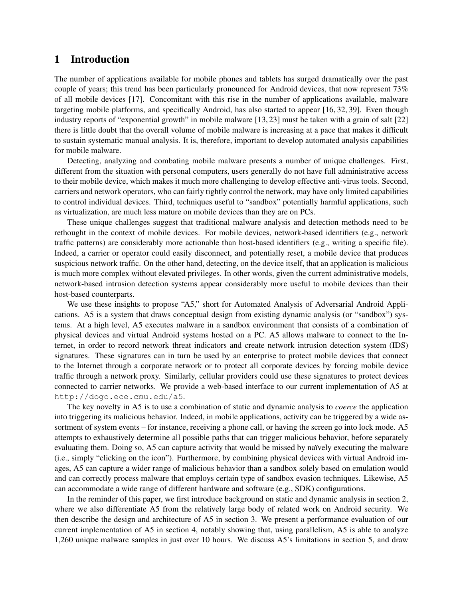### 1 Introduction

The number of applications available for mobile phones and tablets has surged dramatically over the past couple of years; this trend has been particularly pronounced for Android devices, that now represent 73% of all mobile devices [17]. Concomitant with this rise in the number of applications available, malware targeting mobile platforms, and specifically Android, has also started to appear [16, 32, 39]. Even though industry reports of "exponential growth" in mobile malware [13, 23] must be taken with a grain of salt [22] there is little doubt that the overall volume of mobile malware is increasing at a pace that makes it difficult to sustain systematic manual analysis. It is, therefore, important to develop automated analysis capabilities for mobile malware.

Detecting, analyzing and combating mobile malware presents a number of unique challenges. First, different from the situation with personal computers, users generally do not have full administrative access to their mobile device, which makes it much more challenging to develop effective anti-virus tools. Second, carriers and network operators, who can fairly tightly control the network, may have only limited capabilities to control individual devices. Third, techniques useful to "sandbox" potentially harmful applications, such as virtualization, are much less mature on mobile devices than they are on PCs.

These unique challenges suggest that traditional malware analysis and detection methods need to be rethought in the context of mobile devices. For mobile devices, network-based identifiers (e.g., network traffic patterns) are considerably more actionable than host-based identifiers (e.g., writing a specific file). Indeed, a carrier or operator could easily disconnect, and potentially reset, a mobile device that produces suspicious network traffic. On the other hand, detecting, on the device itself, that an application is malicious is much more complex without elevated privileges. In other words, given the current administrative models, network-based intrusion detection systems appear considerably more useful to mobile devices than their host-based counterparts.

We use these insights to propose "A5," short for Automated Analysis of Adversarial Android Applications. A5 is a system that draws conceptual design from existing dynamic analysis (or "sandbox") systems. At a high level, A5 executes malware in a sandbox environment that consists of a combination of physical devices and virtual Android systems hosted on a PC. A5 allows malware to connect to the Internet, in order to record network threat indicators and create network intrusion detection system (IDS) signatures. These signatures can in turn be used by an enterprise to protect mobile devices that connect to the Internet through a corporate network or to protect all corporate devices by forcing mobile device traffic through a network proxy. Similarly, cellular providers could use these signatures to protect devices connected to carrier networks. We provide a web-based interface to our current implementation of A5 at http://dogo.ece.cmu.edu/a5.

The key novelty in A5 is to use a combination of static and dynamic analysis to *coerce* the application into triggering its malicious behavior. Indeed, in mobile applications, activity can be triggered by a wide assortment of system events – for instance, receiving a phone call, or having the screen go into lock mode. A5 attempts to exhaustively determine all possible paths that can trigger malicious behavior, before separately evaluating them. Doing so, A5 can capture activity that would be missed by naïvely executing the malware (i.e., simply "clicking on the icon"). Furthermore, by combining physical devices with virtual Android images, A5 can capture a wider range of malicious behavior than a sandbox solely based on emulation would and can correctly process malware that employs certain type of sandbox evasion techniques. Likewise, A5 can accommodate a wide range of different hardware and software (e.g., SDK) configurations.

In the reminder of this paper, we first introduce background on static and dynamic analysis in section 2, where we also differentiate A5 from the relatively large body of related work on Android security. We then describe the design and architecture of A5 in section 3. We present a performance evaluation of our current implementation of A5 in section 4, notably showing that, using parallelism, A5 is able to analyze 1,260 unique malware samples in just over 10 hours. We discuss A5's limitations in section 5, and draw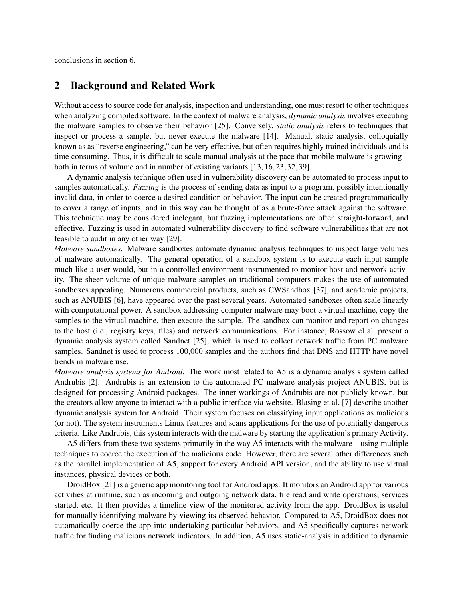conclusions in section 6.

## 2 Background and Related Work

Without access to source code for analysis, inspection and understanding, one must resort to other techniques when analyzing compiled software. In the context of malware analysis, *dynamic analysis* involves executing the malware samples to observe their behavior [25]. Conversely, *static analysis* refers to techniques that inspect or process a sample, but never execute the malware [14]. Manual, static analysis, colloquially known as as "reverse engineering," can be very effective, but often requires highly trained individuals and is time consuming. Thus, it is difficult to scale manual analysis at the pace that mobile malware is growing – both in terms of volume and in number of existing variants [13, 16, 23, 32, 39].

A dynamic analysis technique often used in vulnerability discovery can be automated to process input to samples automatically. *Fuzzing* is the process of sending data as input to a program, possibly intentionally invalid data, in order to coerce a desired condition or behavior. The input can be created programmatically to cover a range of inputs, and in this way can be thought of as a brute-force attack against the software. This technique may be considered inelegant, but fuzzing implementations are often straight-forward, and effective. Fuzzing is used in automated vulnerability discovery to find software vulnerabilities that are not feasible to audit in any other way [29].

*Malware sandboxes.* Malware sandboxes automate dynamic analysis techniques to inspect large volumes of malware automatically. The general operation of a sandbox system is to execute each input sample much like a user would, but in a controlled environment instrumented to monitor host and network activity. The sheer volume of unique malware samples on traditional computers makes the use of automated sandboxes appealing. Numerous commercial products, such as CWSandbox [37], and academic projects, such as ANUBIS [6], have appeared over the past several years. Automated sandboxes often scale linearly with computational power. A sandbox addressing computer malware may boot a virtual machine, copy the samples to the virtual machine, then execute the sample. The sandbox can monitor and report on changes to the host (i.e., registry keys, files) and network communications. For instance, Rossow el al. present a dynamic analysis system called Sandnet [25], which is used to collect network traffic from PC malware samples. Sandnet is used to process 100,000 samples and the authors find that DNS and HTTP have novel trends in malware use.

*Malware analysis systems for Android.* The work most related to A5 is a dynamic analysis system called Andrubis [2]. Andrubis is an extension to the automated PC malware analysis project ANUBIS, but is designed for processing Android packages. The inner-workings of Andrubis are not publicly known, but the creators allow anyone to interact with a public interface via website. Blasing et al. [7] describe another dynamic analysis system for Android. Their system focuses on classifying input applications as malicious (or not). The system instruments Linux features and scans applications for the use of potentially dangerous criteria. Like Andrubis, this system interacts with the malware by starting the application's primary Activity.

A5 differs from these two systems primarily in the way A5 interacts with the malware—using multiple techniques to coerce the execution of the malicious code. However, there are several other differences such as the parallel implementation of A5, support for every Android API version, and the ability to use virtual instances, physical devices or both.

DroidBox [21] is a generic app monitoring tool for Android apps. It monitors an Android app for various activities at runtime, such as incoming and outgoing network data, file read and write operations, services started, etc. It then provides a timeline view of the monitored activity from the app. DroidBox is useful for manually identifying malware by viewing its observed behavior. Compared to A5, DroidBox does not automatically coerce the app into undertaking particular behaviors, and A5 specifically captures network traffic for finding malicious network indicators. In addition, A5 uses static-analysis in addition to dynamic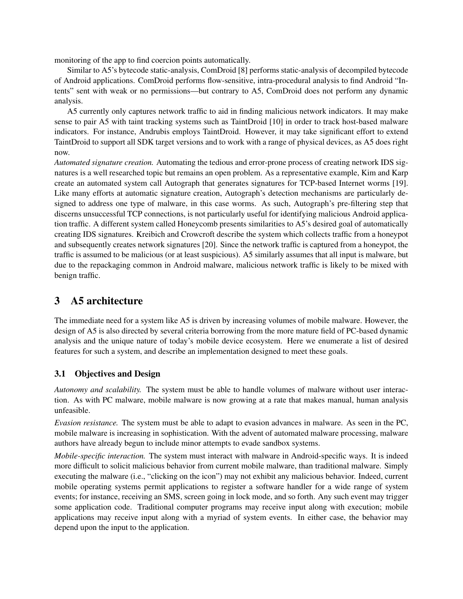monitoring of the app to find coercion points automatically.

Similar to A5's bytecode static-analysis, ComDroid [8] performs static-analysis of decompiled bytecode of Android applications. ComDroid performs flow-sensitive, intra-procedural analysis to find Android "Intents" sent with weak or no permissions—but contrary to A5, ComDroid does not perform any dynamic analysis.

A5 currently only captures network traffic to aid in finding malicious network indicators. It may make sense to pair A5 with taint tracking systems such as TaintDroid [10] in order to track host-based malware indicators. For instance, Andrubis employs TaintDroid. However, it may take significant effort to extend TaintDroid to support all SDK target versions and to work with a range of physical devices, as A5 does right now.

*Automated signature creation.* Automating the tedious and error-prone process of creating network IDS signatures is a well researched topic but remains an open problem. As a representative example, Kim and Karp create an automated system call Autograph that generates signatures for TCP-based Internet worms [19]. Like many efforts at automatic signature creation, Autograph's detection mechanisms are particularly designed to address one type of malware, in this case worms. As such, Autograph's pre-filtering step that discerns unsuccessful TCP connections, is not particularly useful for identifying malicious Android application traffic. A different system called Honeycomb presents similarities to A5's desired goal of automatically creating IDS signatures. Kreibich and Crowcroft describe the system which collects traffic from a honeypot and subsequently creates network signatures [20]. Since the network traffic is captured from a honeypot, the traffic is assumed to be malicious (or at least suspicious). A5 similarly assumes that all input is malware, but due to the repackaging common in Android malware, malicious network traffic is likely to be mixed with benign traffic.

# 3 A5 architecture

The immediate need for a system like A5 is driven by increasing volumes of mobile malware. However, the design of A5 is also directed by several criteria borrowing from the more mature field of PC-based dynamic analysis and the unique nature of today's mobile device ecosystem. Here we enumerate a list of desired features for such a system, and describe an implementation designed to meet these goals.

### 3.1 Objectives and Design

*Autonomy and scalability.* The system must be able to handle volumes of malware without user interaction. As with PC malware, mobile malware is now growing at a rate that makes manual, human analysis unfeasible.

*Evasion resistance.* The system must be able to adapt to evasion advances in malware. As seen in the PC, mobile malware is increasing in sophistication. With the advent of automated malware processing, malware authors have already begun to include minor attempts to evade sandbox systems.

*Mobile-specific interaction.* The system must interact with malware in Android-specific ways. It is indeed more difficult to solicit malicious behavior from current mobile malware, than traditional malware. Simply executing the malware (i.e., "clicking on the icon") may not exhibit any malicious behavior. Indeed, current mobile operating systems permit applications to register a software handler for a wide range of system events; for instance, receiving an SMS, screen going in lock mode, and so forth. Any such event may trigger some application code. Traditional computer programs may receive input along with execution; mobile applications may receive input along with a myriad of system events. In either case, the behavior may depend upon the input to the application.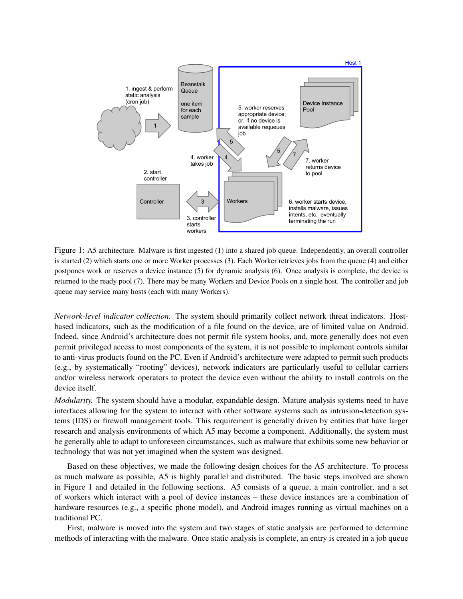

Figure 1: A5 architecture. Malware is first ingested (1) into a shared job queue. Independently, an overall controller is started (2) which starts one or more Worker processes (3). Each Worker retrieves jobs from the queue (4) and either postpones work or reserves a device instance (5) for dynamic analysis (6). Once analysis is complete, the device is returned to the ready pool (7). There may be many Workers and Device Pools on a single host. The controller and job queue may service many hosts (each with many Workers).

*Network-level indicator collection.* The system should primarily collect network threat indicators. Hostbased indicators, such as the modification of a file found on the device, are of limited value on Android. Indeed, since Android's architecture does not permit file system hooks, and, more generally does not even permit privileged access to most components of the system, it is not possible to implement controls similar to anti-virus products found on the PC. Even if Android's architecture were adapted to permit such products (e.g., by systematically "rooting" devices), network indicators are particularly useful to cellular carriers and/or wireless network operators to protect the device even without the ability to install controls on the device itself.

*Modularity.* The system should have a modular, expandable design. Mature analysis systems need to have interfaces allowing for the system to interact with other software systems such as intrusion-detection systems (IDS) or firewall management tools. This requirement is generally driven by entities that have larger research and analysis environments of which A5 may become a component. Additionally, the system must be generally able to adapt to unforeseen circumstances, such as malware that exhibits some new behavior or technology that was not yet imagined when the system was designed.

Based on these objectives, we made the following design choices for the A5 architecture. To process as much malware as possible, A5 is highly parallel and distributed. The basic steps involved are shown in Figure 1 and detailed in the following sections. A5 consists of a queue, a main controller, and a set of workers which interact with a pool of device instances – these device instances are a combination of hardware resources (e.g., a specific phone model), and Android images running as virtual machines on a traditional PC.

First, malware is moved into the system and two stages of static analysis are performed to determine methods of interacting with the malware. Once static analysis is complete, an entry is created in a job queue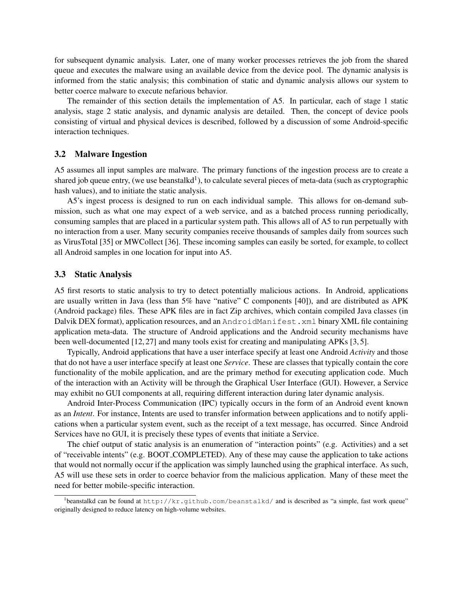for subsequent dynamic analysis. Later, one of many worker processes retrieves the job from the shared queue and executes the malware using an available device from the device pool. The dynamic analysis is informed from the static analysis; this combination of static and dynamic analysis allows our system to better coerce malware to execute nefarious behavior.

The remainder of this section details the implementation of A5. In particular, each of stage 1 static analysis, stage 2 static analysis, and dynamic analysis are detailed. Then, the concept of device pools consisting of virtual and physical devices is described, followed by a discussion of some Android-specific interaction techniques.

#### 3.2 Malware Ingestion

A5 assumes all input samples are malware. The primary functions of the ingestion process are to create a shared job queue entry, (we use beanstalkd<sup>1</sup>), to calculate several pieces of meta-data (such as cryptographic hash values), and to initiate the static analysis.

A5's ingest process is designed to run on each individual sample. This allows for on-demand submission, such as what one may expect of a web service, and as a batched process running periodically, consuming samples that are placed in a particular system path. This allows all of A5 to run perpetually with no interaction from a user. Many security companies receive thousands of samples daily from sources such as VirusTotal [35] or MWCollect [36]. These incoming samples can easily be sorted, for example, to collect all Android samples in one location for input into A5.

#### 3.3 Static Analysis

A5 first resorts to static analysis to try to detect potentially malicious actions. In Android, applications are usually written in Java (less than 5% have "native" C components [40]), and are distributed as APK (Android package) files. These APK files are in fact Zip archives, which contain compiled Java classes (in Dalvik DEX format), application resources, and an AndroidManifest.xml binary XML file containing application meta-data. The structure of Android applications and the Android security mechanisms have been well-documented [12, 27] and many tools exist for creating and manipulating APKs [3, 5].

Typically, Android applications that have a user interface specify at least one Android *Activity* and those that do not have a user interface specify at least one *Service*. These are classes that typically contain the core functionality of the mobile application, and are the primary method for executing application code. Much of the interaction with an Activity will be through the Graphical User Interface (GUI). However, a Service may exhibit no GUI components at all, requiring different interaction during later dynamic analysis.

Android Inter-Process Communication (IPC) typically occurs in the form of an Android event known as an *Intent*. For instance, Intents are used to transfer information between applications and to notify applications when a particular system event, such as the receipt of a text message, has occurred. Since Android Services have no GUI, it is precisely these types of events that initiate a Service.

The chief output of static analysis is an enumeration of "interaction points" (e.g. Activities) and a set of "receivable intents" (e.g. BOOT COMPLETED). Any of these may cause the application to take actions that would not normally occur if the application was simply launched using the graphical interface. As such, A5 will use these sets in order to coerce behavior from the malicious application. Many of these meet the need for better mobile-specific interaction.

<sup>&</sup>lt;sup>1</sup>beanstalkd can be found at http://kr.github.com/beanstalkd/ and is described as "a simple, fast work queue" originally designed to reduce latency on high-volume websites.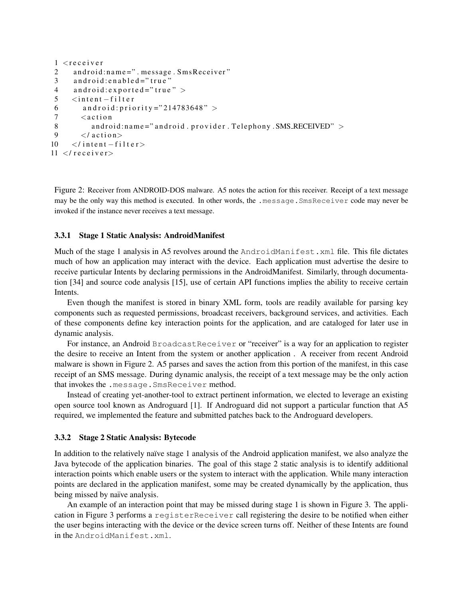```
1 <receiver
2 and roid: name=". message. SmsReceiver"
3 and roid: enabled ="true"
4 and roid: \exp\{ot t \cdot e^x\} true ">
5 \le intent -filter
6 and roid: priority = "214783648"7 <action
8 and roid: name = " and roid . provider . Telephony . SMS_RECEIVED" >
9 \langle action >
10 \le l intent – filter >
11 \langle receiver>
```
Figure 2: Receiver from ANDROID-DOS malware. A5 notes the action for this receiver. Receipt of a text message may be the only way this method is executed. In other words, the .message.SmsReceiver code may never be invoked if the instance never receives a text message.

#### 3.3.1 Stage 1 Static Analysis: AndroidManifest

Much of the stage 1 analysis in A5 revolves around the AndroidManifest. xml file. This file dictates much of how an application may interact with the device. Each application must advertise the desire to receive particular Intents by declaring permissions in the AndroidManifest. Similarly, through documentation [34] and source code analysis [15], use of certain API functions implies the ability to receive certain Intents.

Even though the manifest is stored in binary XML form, tools are readily available for parsing key components such as requested permissions, broadcast receivers, background services, and activities. Each of these components define key interaction points for the application, and are cataloged for later use in dynamic analysis.

For instance, an Android BroadcastReceiver or "receiver" is a way for an application to register the desire to receive an Intent from the system or another application . A receiver from recent Android malware is shown in Figure 2. A5 parses and saves the action from this portion of the manifest, in this case receipt of an SMS message. During dynamic analysis, the receipt of a text message may be the only action that invokes the .message.SmsReceiver method.

Instead of creating yet-another-tool to extract pertinent information, we elected to leverage an existing open source tool known as Androguard [1]. If Androguard did not support a particular function that A5 required, we implemented the feature and submitted patches back to the Androguard developers.

#### 3.3.2 Stage 2 Static Analysis: Bytecode

In addition to the relatively naïve stage 1 analysis of the Android application manifest, we also analyze the Java bytecode of the application binaries. The goal of this stage 2 static analysis is to identify additional interaction points which enable users or the system to interact with the application. While many interaction points are declared in the application manifest, some may be created dynamically by the application, thus being missed by naïve analysis.

An example of an interaction point that may be missed during stage 1 is shown in Figure 3. The application in Figure 3 performs a registerReceiver call registering the desire to be notified when either the user begins interacting with the device or the device screen turns off. Neither of these Intents are found in the AndroidManifest.xml.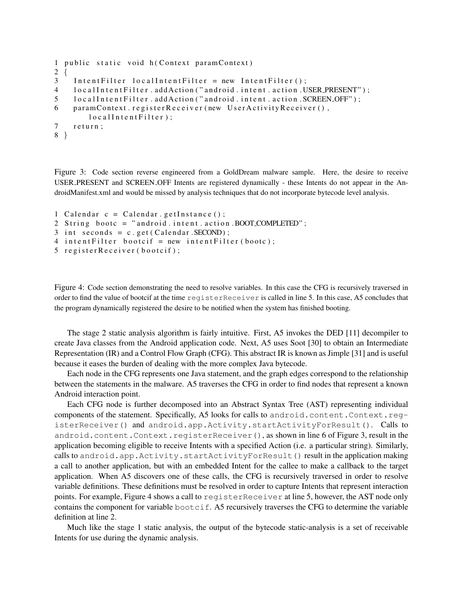```
1 public static void h (Context paramContext)
2 {
3 Intent Filter local Intent Filter = new Intent Filter ();
4 localIntentFilter.addAction("android.intent.action.USER_PRESENT");
5 localIntentFilter.addAction ("android.intent.action.SCREEN_OFF");
6 paramContext.registerReceiver (new UserActivityReceiver (),
       local InternetFilter;
7 return;
8 }
```
Figure 3: Code section reverse engineered from a GoldDream malware sample. Here, the desire to receive USER PRESENT and SCREEN OFF Intents are registered dynamically - these Intents do not appear in the AndroidManifest.xml and would be missed by analysis techniques that do not incorporate bytecode level analysis.

```
1 Calendar c = Calendar . getInstance ();
2 String bootc = "android.intent.action.BOOT_COMPLETED";
3 int seconds = c.get (Calendar.SECOND);
4 intent Filter bootcif = new intent Filter (bootc);
5 register Receiver (bootcif);
```
Figure 4: Code section demonstrating the need to resolve variables. In this case the CFG is recursively traversed in order to find the value of bootcif at the time registerReceiver is called in line 5. In this case, A5 concludes that the program dynamically registered the desire to be notified when the system has finished booting.

The stage 2 static analysis algorithm is fairly intuitive. First, A5 invokes the DED [11] decompiler to create Java classes from the Android application code. Next, A5 uses Soot [30] to obtain an Intermediate Representation (IR) and a Control Flow Graph (CFG). This abstract IR is known as Jimple [31] and is useful because it eases the burden of dealing with the more complex Java bytecode.

Each node in the CFG represents one Java statement, and the graph edges correspond to the relationship between the statements in the malware. A5 traverses the CFG in order to find nodes that represent a known Android interaction point.

Each CFG node is further decomposed into an Abstract Syntax Tree (AST) representing individual components of the statement. Specifically, A5 looks for calls to android.content.Context.registerReceiver() and android.app.Activity.startActivityForResult(). Calls to android.content.Context.registerReceiver(), as shown in line 6 of Figure 3, result in the application becoming eligible to receive Intents with a specified Action (i.e. a particular string). Similarly, calls to android.app.Activity.startActivityForResult() result in the application making a call to another application, but with an embedded Intent for the callee to make a callback to the target application. When A5 discovers one of these calls, the CFG is recursively traversed in order to resolve variable definitions. These definitions must be resolved in order to capture Intents that represent interaction points. For example, Figure 4 shows a call to registerReceiver at line 5, however, the AST node only contains the component for variable bootcif. A5 recursively traverses the CFG to determine the variable definition at line 2.

Much like the stage 1 static analysis, the output of the bytecode static-analysis is a set of receivable Intents for use during the dynamic analysis.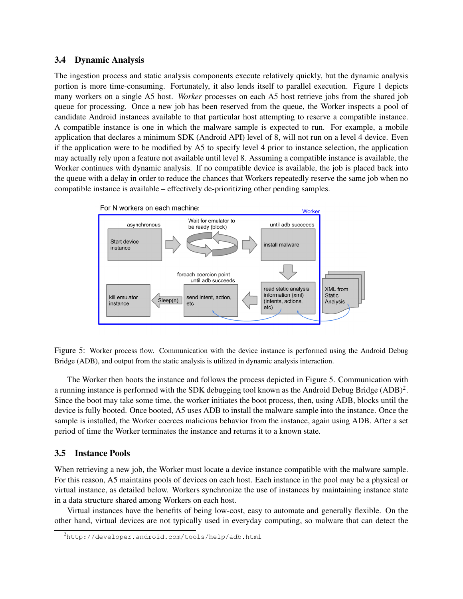#### 3.4 Dynamic Analysis

The ingestion process and static analysis components execute relatively quickly, but the dynamic analysis portion is more time-consuming. Fortunately, it also lends itself to parallel execution. Figure 1 depicts many workers on a single A5 host. *Worker* processes on each A5 host retrieve jobs from the shared job queue for processing. Once a new job has been reserved from the queue, the Worker inspects a pool of candidate Android instances available to that particular host attempting to reserve a compatible instance. A compatible instance is one in which the malware sample is expected to run. For example, a mobile application that declares a minimum SDK (Android API) level of 8, will not run on a level 4 device. Even if the application were to be modified by A5 to specify level 4 prior to instance selection, the application may actually rely upon a feature not available until level 8. Assuming a compatible instance is available, the Worker continues with dynamic analysis. If no compatible device is available, the job is placed back into the queue with a delay in order to reduce the chances that Workers repeatedly reserve the same job when no compatible instance is available – effectively de-prioritizing other pending samples.



Figure 5: Worker process flow. Communication with the device instance is performed using the Android Debug Bridge (ADB), and output from the static analysis is utilized in dynamic analysis interaction.

The Worker then boots the instance and follows the process depicted in Figure 5. Communication with a running instance is performed with the SDK debugging tool known as the Android Debug Bridge  $(ADB)^2$ . Since the boot may take some time, the worker initiates the boot process, then, using ADB, blocks until the device is fully booted. Once booted, A5 uses ADB to install the malware sample into the instance. Once the sample is installed, the Worker coerces malicious behavior from the instance, again using ADB. After a set period of time the Worker terminates the instance and returns it to a known state.

#### 3.5 Instance Pools

When retrieving a new job, the Worker must locate a device instance compatible with the malware sample. For this reason, A5 maintains pools of devices on each host. Each instance in the pool may be a physical or virtual instance, as detailed below. Workers synchronize the use of instances by maintaining instance state in a data structure shared among Workers on each host.

Virtual instances have the benefits of being low-cost, easy to automate and generally flexible. On the other hand, virtual devices are not typically used in everyday computing, so malware that can detect the

<sup>2</sup>http://developer.android.com/tools/help/adb.html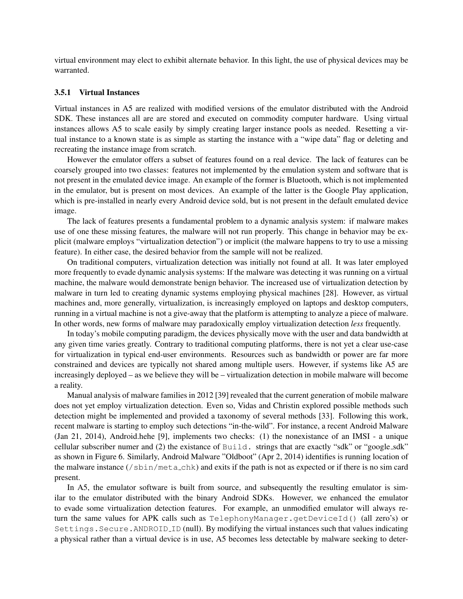virtual environment may elect to exhibit alternate behavior. In this light, the use of physical devices may be warranted.

#### 3.5.1 Virtual Instances

Virtual instances in A5 are realized with modified versions of the emulator distributed with the Android SDK. These instances all are are stored and executed on commodity computer hardware. Using virtual instances allows A5 to scale easily by simply creating larger instance pools as needed. Resetting a virtual instance to a known state is as simple as starting the instance with a "wipe data" flag or deleting and recreating the instance image from scratch.

However the emulator offers a subset of features found on a real device. The lack of features can be coarsely grouped into two classes: features not implemented by the emulation system and software that is not present in the emulated device image. An example of the former is Bluetooth, which is not implemented in the emulator, but is present on most devices. An example of the latter is the Google Play application, which is pre-installed in nearly every Android device sold, but is not present in the default emulated device image.

The lack of features presents a fundamental problem to a dynamic analysis system: if malware makes use of one these missing features, the malware will not run properly. This change in behavior may be explicit (malware employs "virtualization detection") or implicit (the malware happens to try to use a missing feature). In either case, the desired behavior from the sample will not be realized.

On traditional computers, virtualization detection was initially not found at all. It was later employed more frequently to evade dynamic analysis systems: If the malware was detecting it was running on a virtual machine, the malware would demonstrate benign behavior. The increased use of virtualization detection by malware in turn led to creating dynamic systems employing physical machines [28]. However, as virtual machines and, more generally, virtualization, is increasingly employed on laptops and desktop computers, running in a virtual machine is not a give-away that the platform is attempting to analyze a piece of malware. In other words, new forms of malware may paradoxically employ virtualization detection *less* frequently.

In today's mobile computing paradigm, the devices physically move with the user and data bandwidth at any given time varies greatly. Contrary to traditional computing platforms, there is not yet a clear use-case for virtualization in typical end-user environments. Resources such as bandwidth or power are far more constrained and devices are typically not shared among multiple users. However, if systems like A5 are increasingly deployed – as we believe they will be – virtualization detection in mobile malware will become a reality.

Manual analysis of malware families in 2012 [39] revealed that the current generation of mobile malware does not yet employ virtualization detection. Even so, Vidas and Christin explored possible methods such detection might be implemented and provided a taxonomy of several methods [33]. Following this work, recent malware is starting to employ such detections "in-the-wild". For instance, a recent Android Malware (Jan 21, 2014), Android.hehe [9], implements two checks: (1) the nonexistance of an IMSI - a unique cellular subscriber numer and (2) the existance of Build. strings that are exactly "sdk" or "google sdk" as shown in Figure 6. Similarly, Android Malware "Oldboot" (Apr 2, 2014) identifies is running location of the malware instance  $(\sinh(\theta) - \sinh(\theta))$  and exits if the path is not as expected or if there is no sim card present.

In A5, the emulator software is built from source, and subsequently the resulting emulator is similar to the emulator distributed with the binary Android SDKs. However, we enhanced the emulator to evade some virtualization detection features. For example, an unmodified emulator will always return the same values for APK calls such as TelephonyManager.getDeviceId() (all zero's) or Settings. Secure. ANDROID\_ID (null). By modifying the virtual instances such that values indicating a physical rather than a virtual device is in use, A5 becomes less detectable by malware seeking to deter-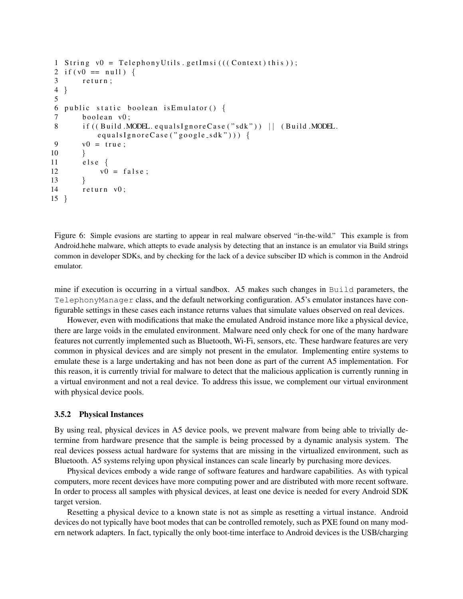```
1 String v0 = TelephonyUtils.getImsi(((Context) this));2 if (v0 == null) {
3 return;
4 }
5
6 public static boolean is Emulator () \{7 boolean v0;
8 if ((Build .MODEL. equals Ignore Case ("sdk")) | (Build .MODEL.
         equals [spaceCase("google_sdk"))) {
9 \t v0 = true;10 }
11 else {
12 \t\t\t v0 = false;13 }
14 return v0;
15 }
```
Figure 6: Simple evasions are starting to appear in real malware observed "in-the-wild." This example is from Android.hehe malware, which attepts to evade analysis by detecting that an instance is an emulator via Build strings common in developer SDKs, and by checking for the lack of a device subsciber ID which is common in the Android emulator.

mine if execution is occurring in a virtual sandbox. A5 makes such changes in Build parameters, the TelephonyManager class, and the default networking configuration. A5's emulator instances have configurable settings in these cases each instance returns values that simulate values observed on real devices.

However, even with modifications that make the emulated Android instance more like a physical device, there are large voids in the emulated environment. Malware need only check for one of the many hardware features not currently implemented such as Bluetooth, Wi-Fi, sensors, etc. These hardware features are very common in physical devices and are simply not present in the emulator. Implementing entire systems to emulate these is a large undertaking and has not been done as part of the current A5 implementation. For this reason, it is currently trivial for malware to detect that the malicious application is currently running in a virtual environment and not a real device. To address this issue, we complement our virtual environment with physical device pools.

#### 3.5.2 Physical Instances

By using real, physical devices in A5 device pools, we prevent malware from being able to trivially determine from hardware presence that the sample is being processed by a dynamic analysis system. The real devices possess actual hardware for systems that are missing in the virtualized environment, such as Bluetooth. A5 systems relying upon physical instances can scale linearly by purchasing more devices.

Physical devices embody a wide range of software features and hardware capabilities. As with typical computers, more recent devices have more computing power and are distributed with more recent software. In order to process all samples with physical devices, at least one device is needed for every Android SDK target version.

Resetting a physical device to a known state is not as simple as resetting a virtual instance. Android devices do not typically have boot modes that can be controlled remotely, such as PXE found on many modern network adapters. In fact, typically the only boot-time interface to Android devices is the USB/charging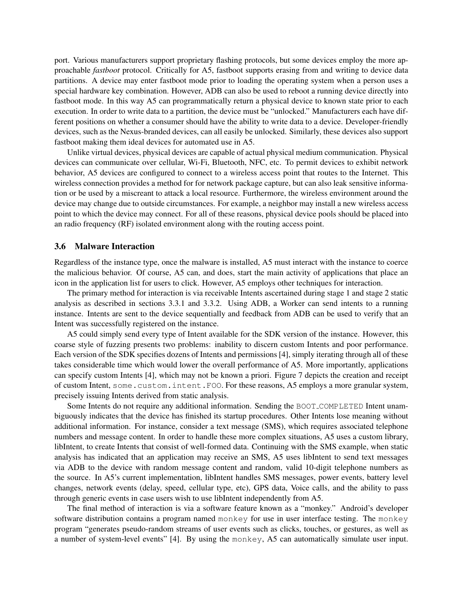port. Various manufacturers support proprietary flashing protocols, but some devices employ the more approachable *fastboot* protocol. Critically for A5, fastboot supports erasing from and writing to device data partitions. A device may enter fastboot mode prior to loading the operating system when a person uses a special hardware key combination. However, ADB can also be used to reboot a running device directly into fastboot mode. In this way A5 can programmatically return a physical device to known state prior to each execution. In order to write data to a partition, the device must be "unlocked." Manufacturers each have different positions on whether a consumer should have the ability to write data to a device. Developer-friendly devices, such as the Nexus-branded devices, can all easily be unlocked. Similarly, these devices also support fastboot making them ideal devices for automated use in A5.

Unlike virtual devices, physical devices are capable of actual physical medium communication. Physical devices can communicate over cellular, Wi-Fi, Bluetooth, NFC, etc. To permit devices to exhibit network behavior, A5 devices are configured to connect to a wireless access point that routes to the Internet. This wireless connection provides a method for for network package capture, but can also leak sensitive information or be used by a miscreant to attack a local resource. Furthermore, the wireless environment around the device may change due to outside circumstances. For example, a neighbor may install a new wireless access point to which the device may connect. For all of these reasons, physical device pools should be placed into an radio frequency (RF) isolated environment along with the routing access point.

#### 3.6 Malware Interaction

Regardless of the instance type, once the malware is installed, A5 must interact with the instance to coerce the malicious behavior. Of course, A5 can, and does, start the main activity of applications that place an icon in the application list for users to click. However, A5 employs other techniques for interaction.

The primary method for interaction is via receivable Intents ascertained during stage 1 and stage 2 static analysis as described in sections 3.3.1 and 3.3.2. Using ADB, a Worker can send intents to a running instance. Intents are sent to the device sequentially and feedback from ADB can be used to verify that an Intent was successfully registered on the instance.

A5 could simply send every type of Intent available for the SDK version of the instance. However, this coarse style of fuzzing presents two problems: inability to discern custom Intents and poor performance. Each version of the SDK specifies dozens of Intents and permissions [4], simply iterating through all of these takes considerable time which would lower the overall performance of A5. More importantly, applications can specify custom Intents [4], which may not be known a priori. Figure 7 depicts the creation and receipt of custom Intent, some.custom.intent.FOO. For these reasons, A5 employs a more granular system, precisely issuing Intents derived from static analysis.

Some Intents do not require any additional information. Sending the BOOT COMPLETED Intent unambiguously indicates that the device has finished its startup procedures. Other Intents lose meaning without additional information. For instance, consider a text message (SMS), which requires associated telephone numbers and message content. In order to handle these more complex situations, A5 uses a custom library, libIntent, to create Intents that consist of well-formed data. Continuing with the SMS example, when static analysis has indicated that an application may receive an SMS, A5 uses libIntent to send text messages via ADB to the device with random message content and random, valid 10-digit telephone numbers as the source. In A5's current implementation, libIntent handles SMS messages, power events, battery level changes, network events (delay, speed, cellular type, etc), GPS data, Voice calls, and the ability to pass through generic events in case users wish to use libIntent independently from A5.

The final method of interaction is via a software feature known as a "monkey." Android's developer software distribution contains a program named monkey for use in user interface testing. The monkey program "generates pseudo-random streams of user events such as clicks, touches, or gestures, as well as a number of system-level events" [4]. By using the monkey, A5 can automatically simulate user input.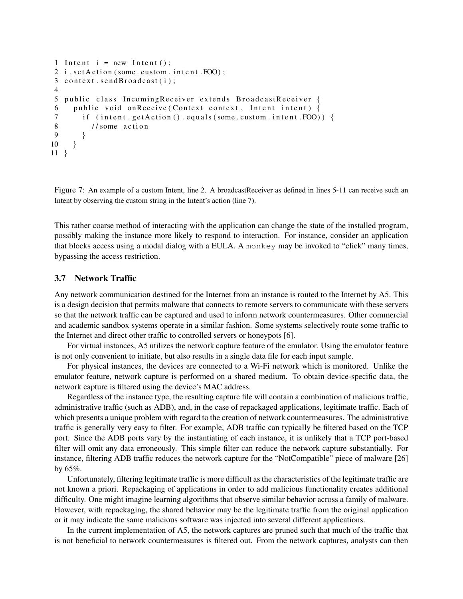```
1 Intent i = new Intent();
2 i . set A c tion (some . custom . intent . FOO);
3 context. sendBroadcast(i);
4
5 public class IncomingReceiver extends BroadcastReceiver {
6 public void onReceive (Context context, Intent intent) {
7 if (intent.getAction().equals (some.custom.intent.FOO)) {
8 // some action
9 }
10 }
11 }
```
Figure 7: An example of a custom Intent, line 2. A broadcastReceiver as defined in lines 5-11 can receive such an Intent by observing the custom string in the Intent's action (line 7).

This rather coarse method of interacting with the application can change the state of the installed program, possibly making the instance more likely to respond to interaction. For instance, consider an application that blocks access using a modal dialog with a EULA. A monkey may be invoked to "click" many times, bypassing the access restriction.

#### 3.7 Network Traffic

Any network communication destined for the Internet from an instance is routed to the Internet by A5. This is a design decision that permits malware that connects to remote servers to communicate with these servers so that the network traffic can be captured and used to inform network countermeasures. Other commercial and academic sandbox systems operate in a similar fashion. Some systems selectively route some traffic to the Internet and direct other traffic to controlled servers or honeypots [6].

For virtual instances, A5 utilizes the network capture feature of the emulator. Using the emulator feature is not only convenient to initiate, but also results in a single data file for each input sample.

For physical instances, the devices are connected to a Wi-Fi network which is monitored. Unlike the emulator feature, network capture is performed on a shared medium. To obtain device-specific data, the network capture is filtered using the device's MAC address.

Regardless of the instance type, the resulting capture file will contain a combination of malicious traffic, administrative traffic (such as ADB), and, in the case of repackaged applications, legitimate traffic. Each of which presents a unique problem with regard to the creation of network countermeasures. The administrative traffic is generally very easy to filter. For example, ADB traffic can typically be filtered based on the TCP port. Since the ADB ports vary by the instantiating of each instance, it is unlikely that a TCP port-based filter will omit any data erroneously. This simple filter can reduce the network capture substantially. For instance, filtering ADB traffic reduces the network capture for the "NotCompatible" piece of malware [26] by 65%.

Unfortunately, filtering legitimate traffic is more difficult as the characteristics of the legitimate traffic are not known a priori. Repackaging of applications in order to add malicious functionality creates additional difficulty. One might imagine learning algorithms that observe similar behavior across a family of malware. However, with repackaging, the shared behavior may be the legitimate traffic from the original application or it may indicate the same malicious software was injected into several different applications.

In the current implementation of A5, the network captures are pruned such that much of the traffic that is not beneficial to network countermeasures is filtered out. From the network captures, analysts can then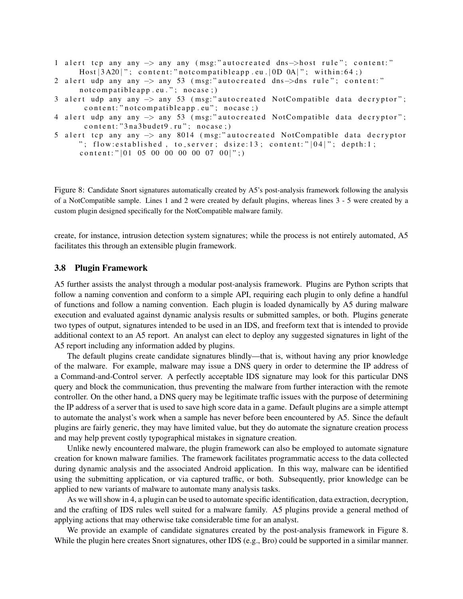```
1 a lert tcp any any \rightarrow any any (msg:" autocreated dns->host rule"; content:"
      Host |3A20|"; content: "not compatible app.eu. |0D0A|"; within: 64;)
2 a lert udp any any \rightarrow any 53 (msg:" autocreated dns->dns rule"; content:"
      n o t c o m p a tible app. eu."; nocase;)
3 a l e r t udp any any -> any 53 (msg: " autocreated NotCompatible data decryptor";
       content: "notcompatibleapp.eu"; nocase;)
4 a lert udp any any −> any 53 (msg:" autocreated NotCompatible data decryptor";
       content: "3 na 3 bud et 9 . ru "; nocase;)
5 alert tcp any any -> any 8014 (msg:" autocreated NotCompatible data decryptor
      "; flow: established, to_server; dsize:13; content: "|04|"; depth:1;
```

```
content:" |01 \t05 \t00 \t00 \t00 \t00 \t07 \t00|";)
```
Figure 8: Candidate Snort signatures automatically created by A5's post-analysis framework following the analysis of a NotCompatible sample. Lines 1 and 2 were created by default plugins, whereas lines 3 - 5 were created by a custom plugin designed specifically for the NotCompatible malware family.

create, for instance, intrusion detection system signatures; while the process is not entirely automated, A5 facilitates this through an extensible plugin framework.

#### 3.8 Plugin Framework

A5 further assists the analyst through a modular post-analysis framework. Plugins are Python scripts that follow a naming convention and conform to a simple API, requiring each plugin to only define a handful of functions and follow a naming convention. Each plugin is loaded dynamically by A5 during malware execution and evaluated against dynamic analysis results or submitted samples, or both. Plugins generate two types of output, signatures intended to be used in an IDS, and freeform text that is intended to provide additional context to an A5 report. An analyst can elect to deploy any suggested signatures in light of the A5 report including any information added by plugins.

The default plugins create candidate signatures blindly—that is, without having any prior knowledge of the malware. For example, malware may issue a DNS query in order to determine the IP address of a Command-and-Control server. A perfectly acceptable IDS signature may look for this particular DNS query and block the communication, thus preventing the malware from further interaction with the remote controller. On the other hand, a DNS query may be legitimate traffic issues with the purpose of determining the IP address of a server that is used to save high score data in a game. Default plugins are a simple attempt to automate the analyst's work when a sample has never before been encountered by A5. Since the default plugins are fairly generic, they may have limited value, but they do automate the signature creation process and may help prevent costly typographical mistakes in signature creation.

Unlike newly encountered malware, the plugin framework can also be employed to automate signature creation for known malware families. The framework facilitates programmatic access to the data collected during dynamic analysis and the associated Android application. In this way, malware can be identified using the submitting application, or via captured traffic, or both. Subsequently, prior knowledge can be applied to new variants of malware to automate many analysis tasks.

As we will show in 4, a plugin can be used to automate specific identification, data extraction, decryption, and the crafting of IDS rules well suited for a malware family. A5 plugins provide a general method of applying actions that may otherwise take considerable time for an analyst.

We provide an example of candidate signatures created by the post-analysis framework in Figure 8. While the plugin here creates Snort signatures, other IDS (e.g., Bro) could be supported in a similar manner.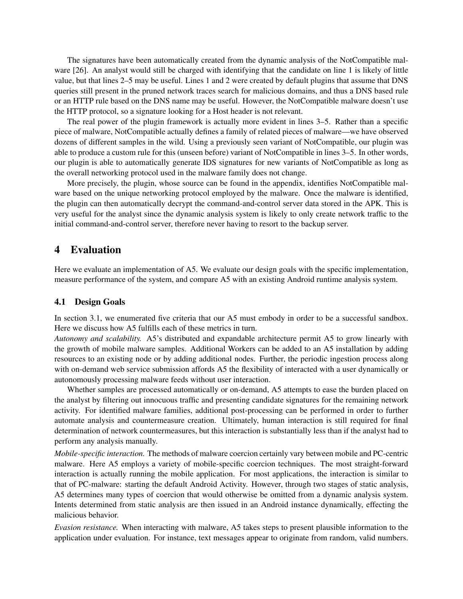The signatures have been automatically created from the dynamic analysis of the NotCompatible malware [26]. An analyst would still be charged with identifying that the candidate on line 1 is likely of little value, but that lines 2–5 may be useful. Lines 1 and 2 were created by default plugins that assume that DNS queries still present in the pruned network traces search for malicious domains, and thus a DNS based rule or an HTTP rule based on the DNS name may be useful. However, the NotCompatible malware doesn't use the HTTP protocol, so a signature looking for a Host header is not relevant.

The real power of the plugin framework is actually more evident in lines 3–5. Rather than a specific piece of malware, NotCompatible actually defines a family of related pieces of malware—we have observed dozens of different samples in the wild. Using a previously seen variant of NotCompatible, our plugin was able to produce a custom rule for this (unseen before) variant of NotCompatible in lines 3–5. In other words, our plugin is able to automatically generate IDS signatures for new variants of NotCompatible as long as the overall networking protocol used in the malware family does not change.

More precisely, the plugin, whose source can be found in the appendix, identifies NotCompatible malware based on the unique networking protocol employed by the malware. Once the malware is identified, the plugin can then automatically decrypt the command-and-control server data stored in the APK. This is very useful for the analyst since the dynamic analysis system is likely to only create network traffic to the initial command-and-control server, therefore never having to resort to the backup server.

# 4 Evaluation

Here we evaluate an implementation of A5. We evaluate our design goals with the specific implementation, measure performance of the system, and compare A5 with an existing Android runtime analysis system.

#### 4.1 Design Goals

In section 3.1, we enumerated five criteria that our A5 must embody in order to be a successful sandbox. Here we discuss how A5 fulfills each of these metrics in turn.

*Autonomy and scalability.* A5's distributed and expandable architecture permit A5 to grow linearly with the growth of mobile malware samples. Additional Workers can be added to an A5 installation by adding resources to an existing node or by adding additional nodes. Further, the periodic ingestion process along with on-demand web service submission affords A5 the flexibility of interacted with a user dynamically or autonomously processing malware feeds without user interaction.

Whether samples are processed automatically or on-demand, A5 attempts to ease the burden placed on the analyst by filtering out innocuous traffic and presenting candidate signatures for the remaining network activity. For identified malware families, additional post-processing can be performed in order to further automate analysis and countermeasure creation. Ultimately, human interaction is still required for final determination of network countermeasures, but this interaction is substantially less than if the analyst had to perform any analysis manually.

*Mobile-specific interaction.* The methods of malware coercion certainly vary between mobile and PC-centric malware. Here A5 employs a variety of mobile-specific coercion techniques. The most straight-forward interaction is actually running the mobile application. For most applications, the interaction is similar to that of PC-malware: starting the default Android Activity. However, through two stages of static analysis, A5 determines many types of coercion that would otherwise be omitted from a dynamic analysis system. Intents determined from static analysis are then issued in an Android instance dynamically, effecting the malicious behavior.

*Evasion resistance.* When interacting with malware, A5 takes steps to present plausible information to the application under evaluation. For instance, text messages appear to originate from random, valid numbers.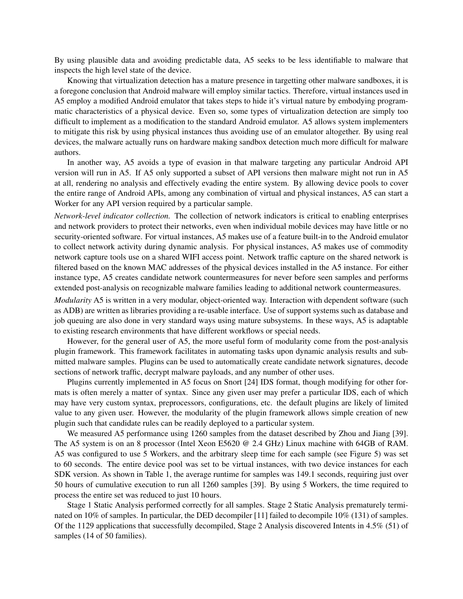By using plausible data and avoiding predictable data, A5 seeks to be less identifiable to malware that inspects the high level state of the device.

Knowing that virtualization detection has a mature presence in targetting other malware sandboxes, it is a foregone conclusion that Android malware will employ similar tactics. Therefore, virtual instances used in A5 employ a modified Android emulator that takes steps to hide it's virtual nature by embodying programmatic characteristics of a physical device. Even so, some types of virtualization detection are simply too difficult to implement as a modification to the standard Android emulator. A5 allows system implementers to mitigate this risk by using physical instances thus avoiding use of an emulator altogether. By using real devices, the malware actually runs on hardware making sandbox detection much more difficult for malware authors.

In another way, A5 avoids a type of evasion in that malware targeting any particular Android API version will run in A5. If A5 only supported a subset of API versions then malware might not run in A5 at all, rendering no analysis and effectively evading the entire system. By allowing device pools to cover the entire range of Android APIs, among any combination of virtual and physical instances, A5 can start a Worker for any API version required by a particular sample.

*Network-level indicator collection.* The collection of network indicators is critical to enabling enterprises and network providers to protect their networks, even when individual mobile devices may have little or no security-oriented software. For virtual instances, A5 makes use of a feature built-in to the Android emulator to collect network activity during dynamic analysis. For physical instances, A5 makes use of commodity network capture tools use on a shared WIFI access point. Network traffic capture on the shared network is filtered based on the known MAC addresses of the physical devices installed in the A5 instance. For either instance type, A5 creates candidate network countermeasures for never before seen samples and performs extended post-analysis on recognizable malware families leading to additional network countermeasures.

*Modularity* A5 is written in a very modular, object-oriented way. Interaction with dependent software (such as ADB) are written as libraries providing a re-usable interface. Use of support systems such as database and job queuing are also done in very standard ways using mature subsystems. In these ways, A5 is adaptable to existing research environments that have different workflows or special needs.

However, for the general user of A5, the more useful form of modularity come from the post-analysis plugin framework. This framework facilitates in automating tasks upon dynamic analysis results and submitted malware samples. Plugins can be used to automatically create candidate network signatures, decode sections of network traffic, decrypt malware payloads, and any number of other uses.

Plugins currently implemented in A5 focus on Snort [24] IDS format, though modifying for other formats is often merely a matter of syntax. Since any given user may prefer a particular IDS, each of which may have very custom syntax, preprocessors, configurations, etc. the default plugins are likely of limited value to any given user. However, the modularity of the plugin framework allows simple creation of new plugin such that candidate rules can be readily deployed to a particular system.

We measured A5 performance using 1260 samples from the dataset described by Zhou and Jiang [39]. The A5 system is on an 8 processor (Intel Xeon E5620 @ 2.4 GHz) Linux machine with 64GB of RAM. A5 was configured to use 5 Workers, and the arbitrary sleep time for each sample (see Figure 5) was set to 60 seconds. The entire device pool was set to be virtual instances, with two device instances for each SDK version. As shown in Table 1, the average runtime for samples was 149.1 seconds, requiring just over 50 hours of cumulative execution to run all 1260 samples [39]. By using 5 Workers, the time required to process the entire set was reduced to just 10 hours.

Stage 1 Static Analysis performed correctly for all samples. Stage 2 Static Analysis prematurely terminated on 10% of samples. In particular, the DED decompiler [11] failed to decompile 10% (131) of samples. Of the 1129 applications that successfully decompiled, Stage 2 Analysis discovered Intents in 4.5% (51) of samples (14 of 50 families).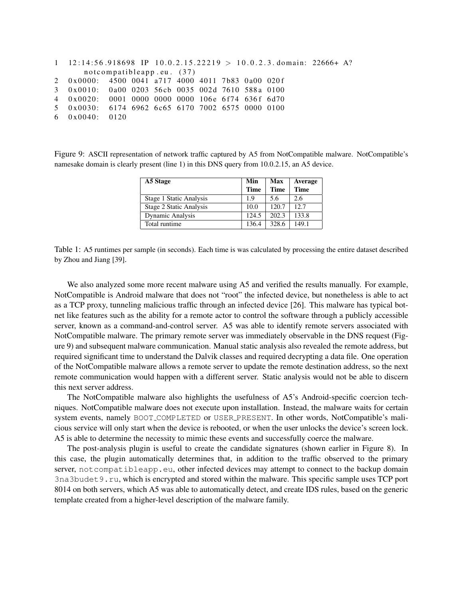```
1 \quad 12:14:56.918698 IP 10.0.2.15.22219 > 10.0.2.3. domain: 22666+ A?
       not compatibleapp.eu. (37)
2 0 x 0 0 00 : 4500 0 0 41 a 717 4000 40 11 7 b 8 3 0 a 0 0 0 2 0 f
3 0x0010: 0a00 0203 56cb 0035 002d 7610 588a 0100
4 0x0020: 0001 0000 0000 0000 106e 6f74 636f 6d70
5 0 x 0 0 3 0: 6174 6962 6 c 65 6170 7002 6575 0000 0100
6 0 \times 0040: 0120
```
Figure 9: ASCII representation of network traffic captured by A5 from NotCompatible malware. NotCompatible's namesake domain is clearly present (line 1) in this DNS query from 10.0.2.15, an A5 device.

| A5 Stage                | Min<br><b>Time</b> | Max<br><b>Time</b> | Average<br><b>Time</b> |
|-------------------------|--------------------|--------------------|------------------------|
| Stage 1 Static Analysis | 1.9                | 5.6                | 2.6                    |
| Stage 2 Static Analysis | 10.0               | 120.7              | 12.7                   |
| <b>Dynamic Analysis</b> | 124.5              | 202.3              | 133.8                  |
| Total runtime           | 136.4              | 328.6              | 149.1                  |

Table 1: A5 runtimes per sample (in seconds). Each time is was calculated by processing the entire dataset described by Zhou and Jiang [39].

We also analyzed some more recent malware using A5 and verified the results manually. For example, NotCompatible is Android malware that does not "root" the infected device, but nonetheless is able to act as a TCP proxy, tunneling malicious traffic through an infected device [26]. This malware has typical botnet like features such as the ability for a remote actor to control the software through a publicly accessible server, known as a command-and-control server. A5 was able to identify remote servers associated with NotCompatible malware. The primary remote server was immediately observable in the DNS request (Figure 9) and subsequent malware communication. Manual static analysis also revealed the remote address, but required significant time to understand the Dalvik classes and required decrypting a data file. One operation of the NotCompatible malware allows a remote server to update the remote destination address, so the next remote communication would happen with a different server. Static analysis would not be able to discern this next server address.

The NotCompatible malware also highlights the usefulness of A5's Android-specific coercion techniques. NotCompatible malware does not execute upon installation. Instead, the malware waits for certain system events, namely BOOT COMPLETED or USER PRESENT. In other words, NotCompatible's malicious service will only start when the device is rebooted, or when the user unlocks the device's screen lock. A5 is able to determine the necessity to mimic these events and successfully coerce the malware.

The post-analysis plugin is useful to create the candidate signatures (shown earlier in Figure 8). In this case, the plugin automatically determines that, in addition to the traffic observed to the primary server, not compatible app.eu, other infected devices may attempt to connect to the backup domain 3na3budet9.ru, which is encrypted and stored within the malware. This specific sample uses TCP port 8014 on both servers, which A5 was able to automatically detect, and create IDS rules, based on the generic template created from a higher-level description of the malware family.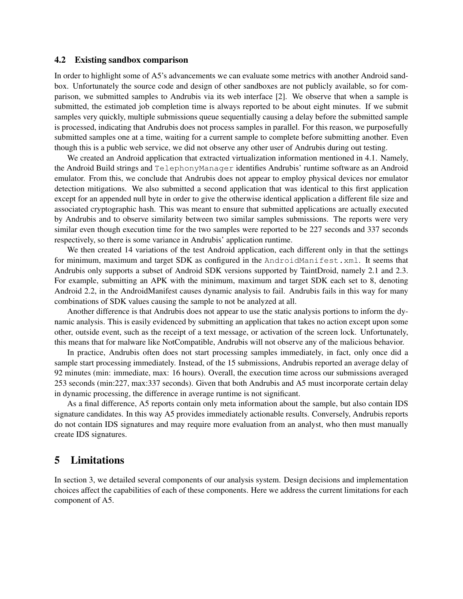#### 4.2 Existing sandbox comparison

In order to highlight some of A5's advancements we can evaluate some metrics with another Android sandbox. Unfortunately the source code and design of other sandboxes are not publicly available, so for comparison, we submitted samples to Andrubis via its web interface [2]. We observe that when a sample is submitted, the estimated job completion time is always reported to be about eight minutes. If we submit samples very quickly, multiple submissions queue sequentially causing a delay before the submitted sample is processed, indicating that Andrubis does not process samples in parallel. For this reason, we purposefully submitted samples one at a time, waiting for a current sample to complete before submitting another. Even though this is a public web service, we did not observe any other user of Andrubis during out testing.

We created an Android application that extracted virtualization information mentioned in 4.1. Namely, the Android Build strings and TelephonyManager identifies Andrubis' runtime software as an Android emulator. From this, we conclude that Andrubis does not appear to employ physical devices nor emulator detection mitigations. We also submitted a second application that was identical to this first application except for an appended null byte in order to give the otherwise identical application a different file size and associated cryptographic hash. This was meant to ensure that submitted applications are actually executed by Andrubis and to observe similarity between two similar samples submissions. The reports were very similar even though execution time for the two samples were reported to be 227 seconds and 337 seconds respectively, so there is some variance in Andrubis' application runtime.

We then created 14 variations of the test Android application, each different only in that the settings for minimum, maximum and target SDK as configured in the AndroidManifest.xml. It seems that Andrubis only supports a subset of Android SDK versions supported by TaintDroid, namely 2.1 and 2.3. For example, submitting an APK with the minimum, maximum and target SDK each set to 8, denoting Android 2.2, in the AndroidManifest causes dynamic analysis to fail. Andrubis fails in this way for many combinations of SDK values causing the sample to not be analyzed at all.

Another difference is that Andrubis does not appear to use the static analysis portions to inform the dynamic analysis. This is easily evidenced by submitting an application that takes no action except upon some other, outside event, such as the receipt of a text message, or activation of the screen lock. Unfortunately, this means that for malware like NotCompatible, Andrubis will not observe any of the malicious behavior.

In practice, Andrubis often does not start processing samples immediately, in fact, only once did a sample start processing immediately. Instead, of the 15 submissions, Andrubis reported an average delay of 92 minutes (min: immediate, max: 16 hours). Overall, the execution time across our submissions averaged 253 seconds (min:227, max:337 seconds). Given that both Andrubis and A5 must incorporate certain delay in dynamic processing, the difference in average runtime is not significant.

As a final difference, A5 reports contain only meta information about the sample, but also contain IDS signature candidates. In this way A5 provides immediately actionable results. Conversely, Andrubis reports do not contain IDS signatures and may require more evaluation from an analyst, who then must manually create IDS signatures.

## 5 Limitations

In section 3, we detailed several components of our analysis system. Design decisions and implementation choices affect the capabilities of each of these components. Here we address the current limitations for each component of A5.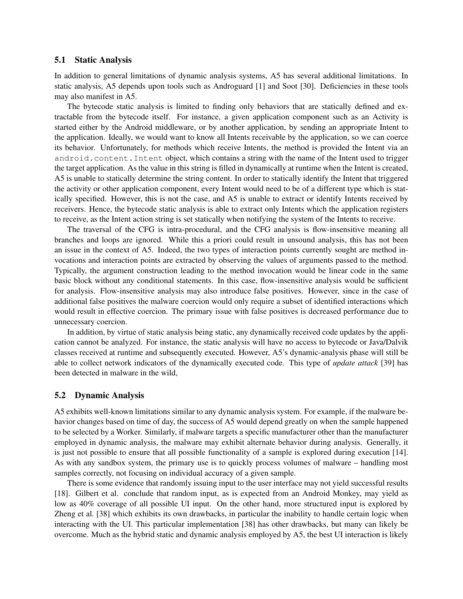#### 5.1 Static Analysis

In addition to general limitations of dynamic analysis systems, A5 has several additional limitations. In static analysis, A5 depends upon tools such as Androguard [1] and Soot [30]. Deficiencies in these tools may also manifest in A5.

The bytecode static analysis is limited to finding only behaviors that are statically defined and extractable from the bytecode itself. For instance, a given application component such as an Activity is started either by the Android middleware, or by another application, by sending an appropriate Intent to the application. Ideally, we would want to know all Intents receivable by the application, so we can coerce its behavior. Unfortunately, for methods which receive Intents, the method is provided the Intent via an android.content.Intent object, which contains a string with the name of the Intent used to trigger the target application. As the value in this string is filled in dynamically at runtime when the Intent is created, A5 is unable to statically determine the string content. In order to statically identify the Intent that triggered the activity or other application component, every Intent would need to be of a different type which is statically specified. However, this is not the case, and A5 is unable to extract or identify Intents received by receivers. Hence, the bytecode static analysis is able to extract only Intents which the application registers to receive, as the Intent action string is set statically when notifying the system of the Intents to receive.

The traversal of the CFG is intra-procedural, and the CFG analysis is flow-insensitive meaning all branches and loops are ignored. While this a priori could result in unsound analysis, this has not been an issue in the context of A5. Indeed, the two types of interaction points currently sought are method invocations and interaction points are extracted by observing the values of arguments passed to the method. Typically, the argument construction leading to the method invocation would be linear code in the same basic block without any conditional statements. In this case, flow-insensitive analysis would be sufficient for analysis. Flow-insensitive analysis may also introduce false positives. However, since in the case of additional false positives the malware coercion would only require a subset of identified interactions which would result in effective coercion. The primary issue with false positives is decreased performance due to unnecessary coercion.

In addition, by virtue of static analysis being static, any dynamically received code updates by the application cannot be analyzed. For instance, the static analysis will have no access to bytecode or Java/Dalvik classes received at runtime and subsequently executed. However, A5's dynamic-analysis phase will still be able to collect network indicators of the dynamically executed code. This type of *update attack* [39] has been detected in malware in the wild,

#### 5.2 Dynamic Analysis

A5 exhibits well-known limitations similar to any dynamic analysis system. For example, if the malware behavior changes based on time of day, the success of A5 would depend greatly on when the sample happened to be selected by a Worker. Similarly, if malware targets a specific manufacturer other than the manufacturer employed in dynamic analysis, the malware may exhibit alternate behavior during analysis. Generally, it is just not possible to ensure that all possible functionality of a sample is explored during execution [14]. As with any sandbox system, the primary use is to quickly process volumes of malware – handling most samples correctly, not focusing on individual accuracy of a given sample.

There is some evidence that randomly issuing input to the user interface may not yield successful results [18]. Gilbert et al. conclude that random input, as is expected from an Android Monkey, may yield as low as 40% coverage of all possible UI input. On the other hand, more structured input is explored by Zheng et al. [38] which exhibits its own drawbacks, in particular the inability to handle certain logic when interacting with the UI. This particular implementation [38] has other drawbacks, but many can likely be overcome. Much as the hybrid static and dynamic analysis employed by A5, the best UI interaction is likely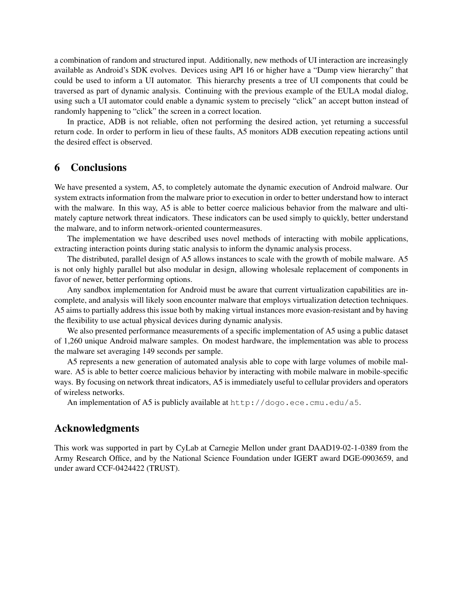a combination of random and structured input. Additionally, new methods of UI interaction are increasingly available as Android's SDK evolves. Devices using API 16 or higher have a "Dump view hierarchy" that could be used to inform a UI automator. This hierarchy presents a tree of UI components that could be traversed as part of dynamic analysis. Continuing with the previous example of the EULA modal dialog, using such a UI automator could enable a dynamic system to precisely "click" an accept button instead of randomly happening to "click" the screen in a correct location.

In practice, ADB is not reliable, often not performing the desired action, yet returning a successful return code. In order to perform in lieu of these faults, A5 monitors ADB execution repeating actions until the desired effect is observed.

# 6 Conclusions

We have presented a system, A5, to completely automate the dynamic execution of Android malware. Our system extracts information from the malware prior to execution in order to better understand how to interact with the malware. In this way, A5 is able to better coerce malicious behavior from the malware and ultimately capture network threat indicators. These indicators can be used simply to quickly, better understand the malware, and to inform network-oriented countermeasures.

The implementation we have described uses novel methods of interacting with mobile applications, extracting interaction points during static analysis to inform the dynamic analysis process.

The distributed, parallel design of A5 allows instances to scale with the growth of mobile malware. A5 is not only highly parallel but also modular in design, allowing wholesale replacement of components in favor of newer, better performing options.

Any sandbox implementation for Android must be aware that current virtualization capabilities are incomplete, and analysis will likely soon encounter malware that employs virtualization detection techniques. A5 aims to partially address this issue both by making virtual instances more evasion-resistant and by having the flexibility to use actual physical devices during dynamic analysis.

We also presented performance measurements of a specific implementation of A5 using a public dataset of 1,260 unique Android malware samples. On modest hardware, the implementation was able to process the malware set averaging 149 seconds per sample.

A5 represents a new generation of automated analysis able to cope with large volumes of mobile malware. A5 is able to better coerce malicious behavior by interacting with mobile malware in mobile-specific ways. By focusing on network threat indicators, A5 is immediately useful to cellular providers and operators of wireless networks.

An implementation of A5 is publicly available at  $http://dogo.ece.cmu.edu/a5$ .

# Acknowledgments

This work was supported in part by CyLab at Carnegie Mellon under grant DAAD19-02-1-0389 from the Army Research Office, and by the National Science Foundation under IGERT award DGE-0903659, and under award CCF-0424422 (TRUST).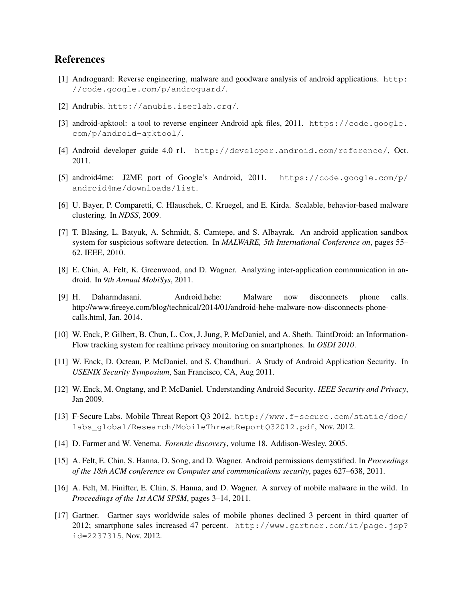# References

- [1] Androguard: Reverse engineering, malware and goodware analysis of android applications. http: //code.google.com/p/androguard/.
- [2] Andrubis. http://anubis.iseclab.org/.
- [3] android-apktool: a tool to reverse engineer Android apk files, 2011. https://code.google. com/p/android-apktool/.
- [4] Android developer guide 4.0 r1. http://developer.android.com/reference/, Oct. 2011.
- [5] android4me: J2ME port of Google's Android, 2011. https://code.google.com/p/ android4me/downloads/list.
- [6] U. Bayer, P. Comparetti, C. Hlauschek, C. Kruegel, and E. Kirda. Scalable, behavior-based malware clustering. In *NDSS*, 2009.
- [7] T. Blasing, L. Batyuk, A. Schmidt, S. Camtepe, and S. Albayrak. An android application sandbox system for suspicious software detection. In *MALWARE, 5th International Conference on*, pages 55– 62. IEEE, 2010.
- [8] E. Chin, A. Felt, K. Greenwood, and D. Wagner. Analyzing inter-application communication in android. In *9th Annual MobiSys*, 2011.
- [9] H. Daharmdasani. Android.hehe: Malware now disconnects phone calls. http://www.fireeye.com/blog/technical/2014/01/android-hehe-malware-now-disconnects-phonecalls.html, Jan. 2014.
- [10] W. Enck, P. Gilbert, B. Chun, L. Cox, J. Jung, P. McDaniel, and A. Sheth. TaintDroid: an Information-Flow tracking system for realtime privacy monitoring on smartphones. In *OSDI 2010*.
- [11] W. Enck, D. Octeau, P. McDaniel, and S. Chaudhuri. A Study of Android Application Security. In *USENIX Security Symposium*, San Francisco, CA, Aug 2011.
- [12] W. Enck, M. Ongtang, and P. McDaniel. Understanding Android Security. *IEEE Security and Privacy*, Jan 2009.
- [13] F-Secure Labs. Mobile Threat Report Q3 2012. http://www.f-secure.com/static/doc/ labs\_global/Research/MobileThreatReportQ32012.pdf, Nov. 2012.
- [14] D. Farmer and W. Venema. *Forensic discovery*, volume 18. Addison-Wesley, 2005.
- [15] A. Felt, E. Chin, S. Hanna, D. Song, and D. Wagner. Android permissions demystified. In *Proceedings of the 18th ACM conference on Computer and communications security*, pages 627–638, 2011.
- [16] A. Felt, M. Finifter, E. Chin, S. Hanna, and D. Wagner. A survey of mobile malware in the wild. In *Proceedings of the 1st ACM SPSM*, pages 3–14, 2011.
- [17] Gartner. Gartner says worldwide sales of mobile phones declined 3 percent in third quarter of 2012; smartphone sales increased 47 percent. http://www.gartner.com/it/page.jsp? id=2237315, Nov. 2012.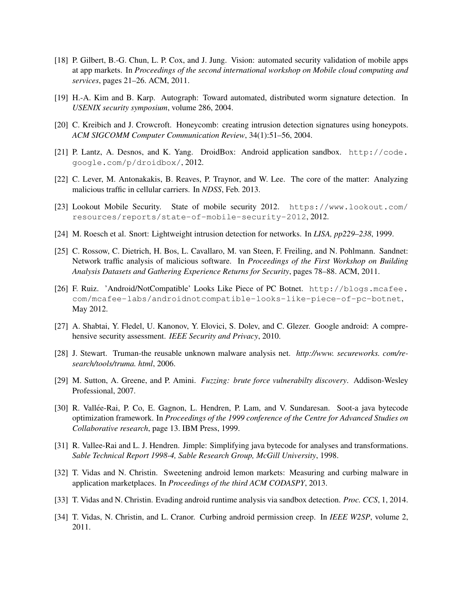- [18] P. Gilbert, B.-G. Chun, L. P. Cox, and J. Jung. Vision: automated security validation of mobile apps at app markets. In *Proceedings of the second international workshop on Mobile cloud computing and services*, pages 21–26. ACM, 2011.
- [19] H.-A. Kim and B. Karp. Autograph: Toward automated, distributed worm signature detection. In *USENIX security symposium*, volume 286, 2004.
- [20] C. Kreibich and J. Crowcroft. Honeycomb: creating intrusion detection signatures using honeypots. *ACM SIGCOMM Computer Communication Review*, 34(1):51–56, 2004.
- [21] P. Lantz, A. Desnos, and K. Yang. DroidBox: Android application sandbox. http://code. google.com/p/droidbox/, 2012.
- [22] C. Lever, M. Antonakakis, B. Reaves, P. Traynor, and W. Lee. The core of the matter: Analyzing malicious traffic in cellular carriers. In *NDSS*, Feb. 2013.
- [23] Lookout Mobile Security. State of mobile security 2012. https://www.lookout.com/ resources/reports/state-of-mobile-security-2012, 2012.
- [24] M. Roesch et al. Snort: Lightweight intrusion detection for networks. In *LISA, pp229–238*, 1999.
- [25] C. Rossow, C. Dietrich, H. Bos, L. Cavallaro, M. van Steen, F. Freiling, and N. Pohlmann. Sandnet: Network traffic analysis of malicious software. In *Proceedings of the First Workshop on Building Analysis Datasets and Gathering Experience Returns for Security*, pages 78–88. ACM, 2011.
- [26] F. Ruiz. 'Android/NotCompatible' Looks Like Piece of PC Botnet. http://blogs.mcafee. com/mcafee-labs/androidnotcompatible-looks-like-piece-of-pc-botnet, May 2012.
- [27] A. Shabtai, Y. Fledel, U. Kanonov, Y. Elovici, S. Dolev, and C. Glezer. Google android: A comprehensive security assessment. *IEEE Security and Privacy*, 2010.
- [28] J. Stewart. Truman-the reusable unknown malware analysis net. *http://www. secureworks. com/research/tools/truma. html*, 2006.
- [29] M. Sutton, A. Greene, and P. Amini. *Fuzzing: brute force vulnerabilty discovery*. Addison-Wesley Professional, 2007.
- [30] R. Vallee-Rai, P. Co, E. Gagnon, L. Hendren, P. Lam, and V. Sundaresan. Soot-a java bytecode ´ optimization framework. In *Proceedings of the 1999 conference of the Centre for Advanced Studies on Collaborative research*, page 13. IBM Press, 1999.
- [31] R. Vallee-Rai and L. J. Hendren. Jimple: Simplifying java bytecode for analyses and transformations. *Sable Technical Report 1998-4, Sable Research Group, McGill University*, 1998.
- [32] T. Vidas and N. Christin. Sweetening android lemon markets: Measuring and curbing malware in application marketplaces. In *Proceedings of the third ACM CODASPY*, 2013.
- [33] T. Vidas and N. Christin. Evading android runtime analysis via sandbox detection. *Proc. CCS*, 1, 2014.
- [34] T. Vidas, N. Christin, and L. Cranor. Curbing android permission creep. In *IEEE W2SP*, volume 2, 2011.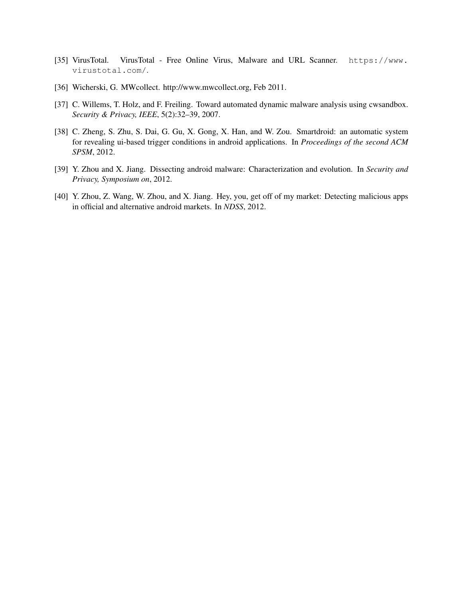- [35] VirusTotal. VirusTotal Free Online Virus, Malware and URL Scanner. https://www. virustotal.com/.
- [36] Wicherski, G. MWcollect. http://www.mwcollect.org, Feb 2011.
- [37] C. Willems, T. Holz, and F. Freiling. Toward automated dynamic malware analysis using cwsandbox. *Security & Privacy, IEEE*, 5(2):32–39, 2007.
- [38] C. Zheng, S. Zhu, S. Dai, G. Gu, X. Gong, X. Han, and W. Zou. Smartdroid: an automatic system for revealing ui-based trigger conditions in android applications. In *Proceedings of the second ACM SPSM*, 2012.
- [39] Y. Zhou and X. Jiang. Dissecting android malware: Characterization and evolution. In *Security and Privacy, Symposium on*, 2012.
- [40] Y. Zhou, Z. Wang, W. Zhou, and X. Jiang. Hey, you, get off of my market: Detecting malicious apps in official and alternative android markets. In *NDSS*, 2012.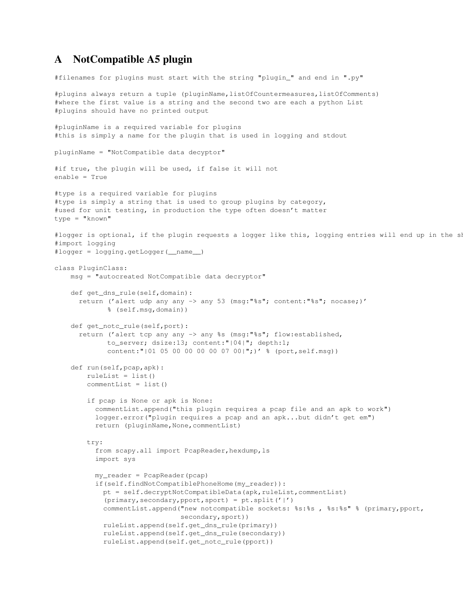# A NotCompatible A5 plugin

```
#filenames for plugins must start with the string "plugin_" and end in ".py"
#plugins always return a tuple (pluginName,listOfCountermeasures,listOfComments)
#where the first value is a string and the second two are each a python List
#plugins should have no printed output
#pluginName is a required variable for plugins
#this is simply a name for the plugin that is used in logging and stdout
pluginName = "NotCompatible data decyptor"
#if true, the plugin will be used, if false it will not
enable = True
#type is a required variable for plugins
#type is simply a string that is used to group plugins by category,
#used for unit testing, in production the type often doesn't matter
type = "known"
#logger is optional, if the plugin requests a logger like this, logging entries will end up in the sh
#import logging
#logger = logging.getLogger(__name__)
class PluginClass:
   msg = "autocreated NotCompatible data decryptor"
   def get_dns_rule(self,domain):
      return ('alert udp any any -> any 53 (msg:"%s"; content:"%s"; nocase;)'
             % (self.msg,domain))
   def get_notc_rule(self,port):
      return ('alert tcp any any -> any %s (msg:"%s"; flow:established,
             to_server; dsize:13; content:"|04|"; depth:1;
             content:"|01 05 00 00 00 00 07 00|";)' % (port,self.msg))
   def run(self,pcap,apk):
       ruleList = list()commentList = list()if pcap is None or apk is None:
          commentList.append("this plugin requires a pcap file and an apk to work")
          logger.error("plugin requires a pcap and an apk...but didn't get em")
          return (pluginName,None,commentList)
        try:
          from scapy.all import PcapReader, hexdump, ls
          import sys
          my_reader = PcapReader(pcap)
          if(self.findNotCompatiblePhoneHome(my_reader)):
            pt = self.decryptNotCompatibleData(apk,ruleList,commentList)
            (primary, secondary,pport, sport) = pt.split('')commentList.append("new notcompatible sockets: %s:%s , %s:%s" % (primary,pport,
                               secondary, sport))
            ruleList.append(self.get_dns_rule(primary))
            ruleList.append(self.get_dns_rule(secondary))
            ruleList.append(self.get_notc_rule(pport))
```